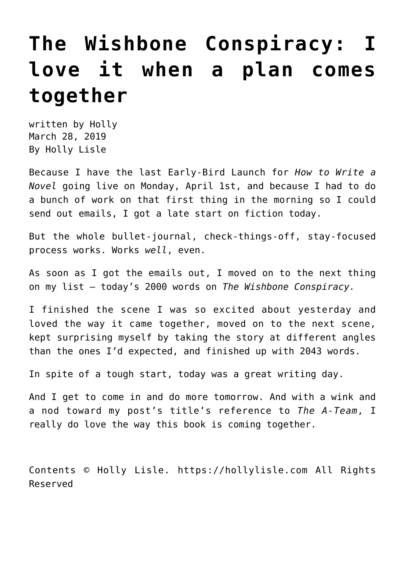### **[The Wishbone Conspiracy: I](https://hollylisle.com/the-wishbone-conspiracy-i-love-it-when-a-plan-comes-together/) [love it when a plan comes](https://hollylisle.com/the-wishbone-conspiracy-i-love-it-when-a-plan-comes-together/) [together](https://hollylisle.com/the-wishbone-conspiracy-i-love-it-when-a-plan-comes-together/)**

written by Holly March 28, 2019 [By Holly Lisle](https://hollylisle.com)

Because I have the [last Early-Bird Launch for](http://hollyswritingclasses.com/class/how-to-write-a-novel.html) *[How to Write a](http://hollyswritingclasses.com/class/how-to-write-a-novel.html) [Novel](http://hollyswritingclasses.com/class/how-to-write-a-novel.html)* [going live on Monday, April 1st,](http://hollyswritingclasses.com/class/how-to-write-a-novel.html) and because I had to do a bunch of work on that first thing in the morning so I could send out emails, I got a late start on fiction today.

But the whole bullet-journal, check-things-off, stay-focused process works. Works *well*, even.

As soon as I got the emails out, I moved on to the next thing on my list — today's 2000 words on *The Wishbone Conspiracy.*

I finished the scene I was so excited about yesterday and loved the way it came together, moved on to the next scene, kept surprising myself by taking the story at different angles than the ones I'd expected, and finished up with 2043 words.

In spite of a tough start, today was a great writing day.

And I get to come in and do more tomorrow. And with a wink and a nod toward my post's title's reference to *The A-Team*, I really do love the way this book is coming together.

Contents © Holly Lisle. <https://hollylisle.com> All Rights Reserved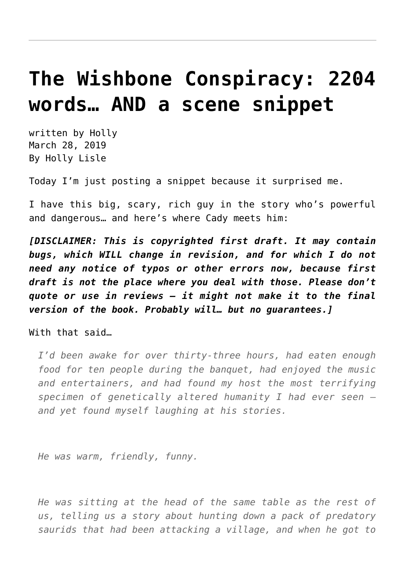### **[The Wishbone Conspiracy: 2204](https://hollylisle.com/the-wishbone-conspiracy-2204-words-and-a-scene-snippet/) [words… AND a scene snippet](https://hollylisle.com/the-wishbone-conspiracy-2204-words-and-a-scene-snippet/)**

written by Holly March 28, 2019 [By Holly Lisle](https://hollylisle.com)

Today I'm just posting a snippet because it surprised me.

I have this big, scary, rich guy in the story who's powerful and dangerous… and here's where Cady meets him:

*[DISCLAIMER: This is copyrighted first draft. It may contain bugs, which WILL change in revision, and for which I do not need any notice of typos or other errors now, because first draft is not the place where you deal with those. Please don't quote or use in reviews — it might not make it to the final version of the book. Probably will… but no guarantees.]*

With that said…

*I'd been awake for over thirty-three hours, had eaten enough food for ten people during the banquet, had enjoyed the music and entertainers, and had found my host the most terrifying specimen of genetically altered humanity I had ever seen and yet found myself laughing at his stories.*

*He was warm, friendly, funny.*

*He was sitting at the head of the same table as the rest of us, telling us a story about hunting down a pack of predatory saurids that had been attacking a village, and when he got to*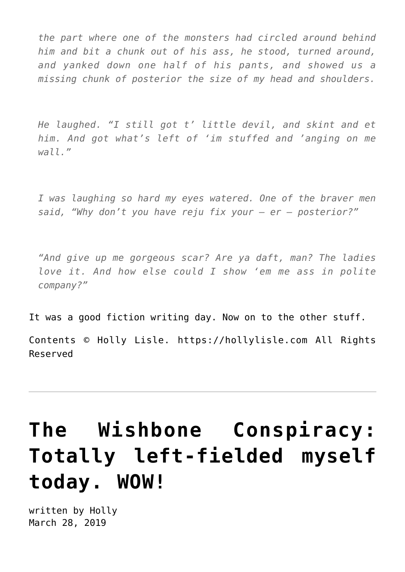*the part where one of the monsters had circled around behind him and bit a chunk out of his ass, he stood, turned around, and yanked down one half of his pants, and showed us a missing chunk of posterior the size of my head and shoulders.*

*He laughed. "I still got t' little devil, and skint and et him. And got what's left of 'im stuffed and 'anging on me wall."*

*I was laughing so hard my eyes watered. One of the braver men said, "Why don't you have reju fix your — er — posterior?"*

*"And give up me gorgeous scar? Are ya daft, man? The ladies love it. And how else could I show 'em me ass in polite company?"*

It was a good fiction writing day. Now on to the other stuff.

Contents © Holly Lisle. <https://hollylisle.com> All Rights Reserved

# **[The Wishbone Conspiracy:](https://hollylisle.com/the-wishbone-conspiracy-totally-left-fielded-myself-today-wow/) [Totally left-fielded myself](https://hollylisle.com/the-wishbone-conspiracy-totally-left-fielded-myself-today-wow/) [today. WOW!](https://hollylisle.com/the-wishbone-conspiracy-totally-left-fielded-myself-today-wow/)**

written by Holly March 28, 2019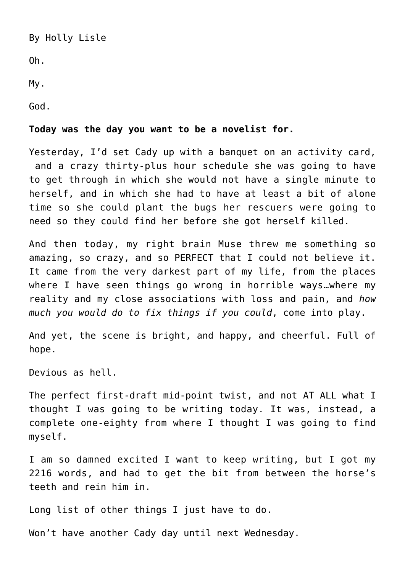[By Holly Lisle](https://hollylisle.com)

Oh.

My.

God.

#### **Today was the day you want to be a novelist for.**

Yesterday, I'd set Cady up with a banquet on an activity card, and a crazy thirty-plus hour schedule she was going to have to get through in which she would not have a single minute to herself, and in which she had to have at least a bit of alone time so she could plant the bugs her rescuers were going to need so they could find her before she got herself killed.

And then today, my right brain Muse threw me something so amazing, so crazy, and so PERFECT that I could not believe it. It came from the very darkest part of my life, from the places where I have seen things go wrong in horrible ways…where my reality and my close associations with loss and pain, and *how much you would do to fix things if you could*, come into play.

And yet, the scene is bright, and happy, and cheerful. Full of hope.

Devious as hell.

The perfect first-draft mid-point twist, and not AT ALL what I thought I was going to be writing today. It was, instead, a complete one-eighty from where I thought I was going to find myself.

I am so damned excited I want to keep writing, but I got my 2216 words, and had to get the bit from between the horse's teeth and rein him in.

Long list of other things I just have to do.

Won't have another Cady day until next Wednesday.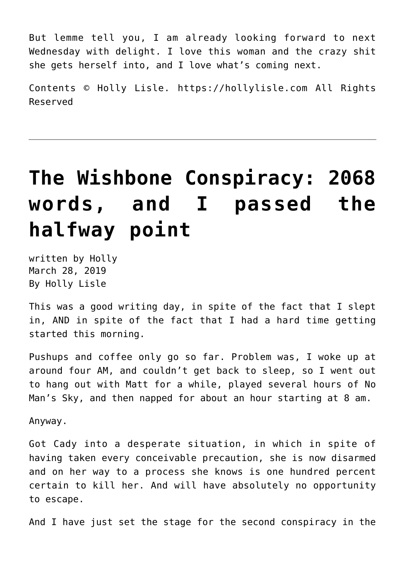But lemme tell you, I am already looking forward to next Wednesday with delight. I love this woman and the crazy shit she gets herself into, and I love what's coming next.

Contents © Holly Lisle. <https://hollylisle.com> All Rights Reserved

# **[The Wishbone Conspiracy: 2068](https://hollylisle.com/the-wishbone-conspiracy-2068-words-and-passed-the-halfway-point/) [words, and I passed the](https://hollylisle.com/the-wishbone-conspiracy-2068-words-and-passed-the-halfway-point/) [halfway point](https://hollylisle.com/the-wishbone-conspiracy-2068-words-and-passed-the-halfway-point/)**

written by Holly March 28, 2019 [By Holly Lisle](https://hollylisle.com)

This was a good writing day, in spite of the fact that I slept in, AND in spite of the fact that I had a hard time getting started this morning.

Pushups and coffee only go so far. Problem was, I woke up at around four AM, and couldn't get back to sleep, so I went out to hang out with Matt for a while, played several hours of No Man's Sky, and then napped for about an hour starting at 8 am.

Anyway.

Got Cady into a desperate situation, in which in spite of having taken every conceivable precaution, she is now disarmed and on her way to a process she knows is one hundred percent certain to kill her. And will have absolutely no opportunity to escape.

And I have just set the stage for the second conspiracy in the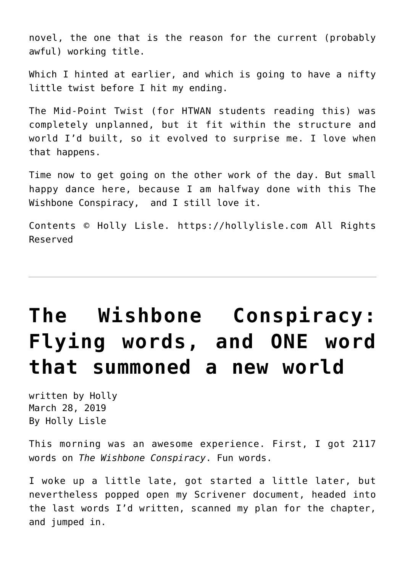novel, the one that is the reason for the current (probably awful) working title.

Which I hinted at earlier, and which is going to have a nifty little twist before I hit my ending.

The Mid-Point Twist ([for HTWAN students reading this](http://hollyswritingclasses.com/class/how-to-write-a-novel.html)) was completely unplanned, but it fit within the structure and world I'd built, so it evolved to surprise me. I love when that happens.

Time now to get going on the other work of the day. But small happy dance here, because I am halfway done with this The Wishbone Conspiracy, and I still love it.

Contents © Holly Lisle. <https://hollylisle.com> All Rights Reserved

## **[The Wishbone Conspiracy:](https://hollylisle.com/the-wishbone-conspiracy-flying-words-and-one-word-that-summoned-a-new-world/) [Flying words, and ONE word](https://hollylisle.com/the-wishbone-conspiracy-flying-words-and-one-word-that-summoned-a-new-world/) [that summoned a new world](https://hollylisle.com/the-wishbone-conspiracy-flying-words-and-one-word-that-summoned-a-new-world/)**

written by Holly March 28, 2019 [By Holly Lisle](https://hollylisle.com)

This morning was an awesome experience. First, I got 2117 words on *The Wishbone Conspiracy*. Fun words.

I woke up a little late, got started a little later, but nevertheless popped open my Scrivener document, headed into the last words I'd written, scanned my plan for the chapter, and jumped in.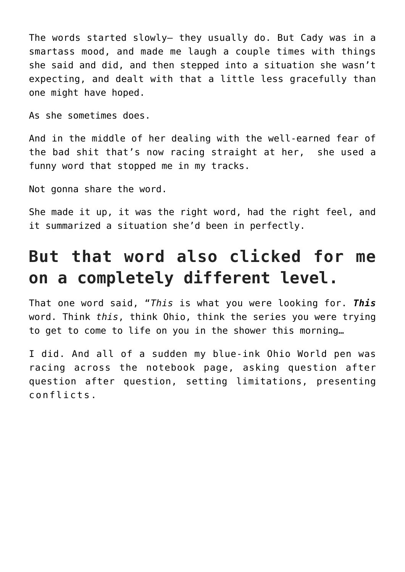The words started slowly— they usually do. But Cady was in a smartass mood, and made me laugh a couple times with things she said and did, and then stepped into a situation she wasn't expecting, and dealt with that a little less gracefully than one might have hoped.

As she sometimes does.

And in the middle of her dealing with the well-earned fear of the bad shit that's now racing straight at her, she used a funny word that stopped me in my tracks.

Not gonna share the word.

She made it up, it was the right word, had the right feel, and it summarized a situation she'd been in perfectly.

### **But that word also clicked for me on a completely different level.**

That one word said, "*This* is what you were looking for. *This* word. Think *this*, think Ohio, think the series you were trying to get to come to life on you in the shower this morning…

I did. And all of a sudden my blue-ink Ohio World pen was racing across the notebook page, asking question after question after question, setting limitations, presenting conflicts.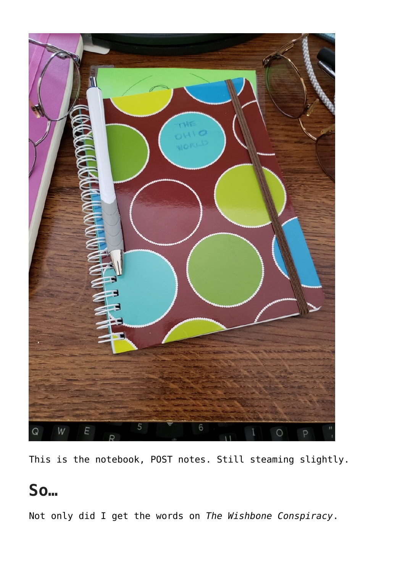

This is the notebook, POST notes. Still steaming slightly.

#### **So…**

Not only did I get the words on *The Wishbone Conspiracy*.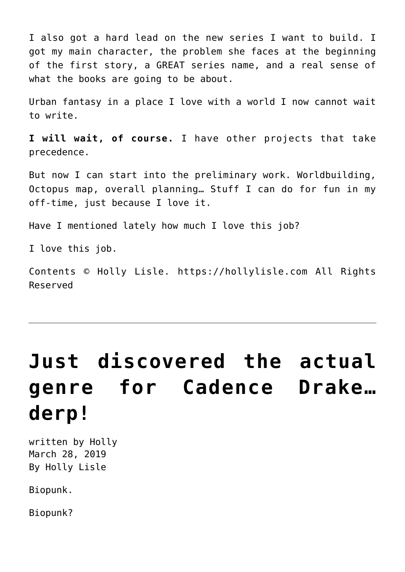I also got a hard lead on the new series I want to build. I got my main character, the problem she faces at the beginning of the first story, a GREAT series name, and a real sense of what the books are going to be about.

Urban fantasy in a place I love with a world I now cannot wait to write.

**I will wait, of course.** I have other projects that take precedence.

But now I can start into the preliminary work. Worldbuilding, Octopus map, overall planning… Stuff I can do for fun in my off-time, just because I love it.

Have I mentioned lately how much I love this job?

I love this job.

Contents © Holly Lisle. <https://hollylisle.com> All Rights Reserved

# **[Just discovered the actual](https://hollylisle.com/just-discovered-the-actual-genre-for-cadence-drake-derp/) [genre for Cadence Drake…](https://hollylisle.com/just-discovered-the-actual-genre-for-cadence-drake-derp/) [derp!](https://hollylisle.com/just-discovered-the-actual-genre-for-cadence-drake-derp/)**

written by Holly March 28, 2019 [By Holly Lisle](https://hollylisle.com)

Biopunk.

Biopunk?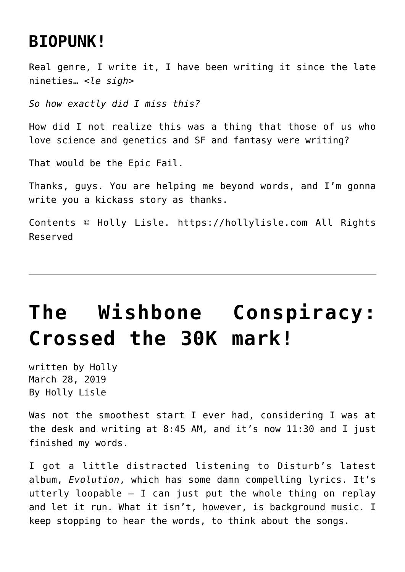#### **[BIOPUNK!](https://en.wikipedia.org/wiki/Cyberpunk_derivatives#Biopunk)**

Real genre, I write it, I have been writing it since the late nineties… *<le sigh>*

*So how exactly did I miss this?*

How did I not realize this was a thing that those of us who love science and genetics and SF and fantasy were writing?

That would be the Epic Fail.

Thanks, guys. You are helping me beyond words, and I'm gonna write you a kickass story as thanks.

Contents © Holly Lisle. <https://hollylisle.com> All Rights Reserved

## **[The Wishbone Conspiracy:](https://hollylisle.com/the-wishbone-conspiracy-crossed-the-30k-mark/) [Crossed the 30K mark!](https://hollylisle.com/the-wishbone-conspiracy-crossed-the-30k-mark/)**

written by Holly March 28, 2019 [By Holly Lisle](https://hollylisle.com)

Was not the smoothest start I ever had, considering I was at the desk and writing at 8:45 AM, and it's now 11:30 and I just finished my words.

I got a little distracted listening to Disturb's latest album, *Evolution*, which has some damn compelling lyrics. It's utterly loopable  $-$  I can just put the whole thing on replay and let it run. What it isn't, however, is background music. I keep stopping to hear the words, to think about the songs.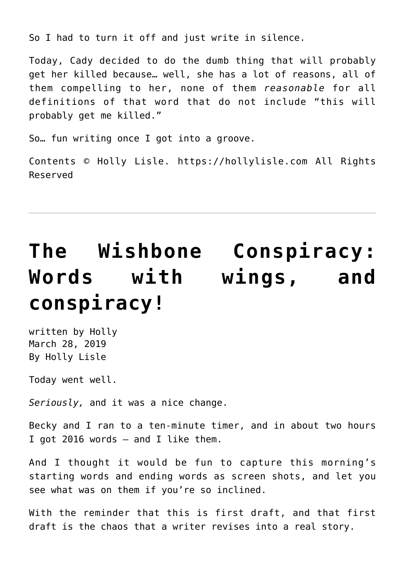So I had to turn it off and just write in silence.

Today, Cady decided to do the dumb thing that will probably get her killed because… well, she has a lot of reasons, all of them compelling to her, none of them *reasonable* for all definitions of that word that do not include "this will probably get me killed."

So… fun writing once I got into a groove.

Contents © Holly Lisle. <https://hollylisle.com> All Rights Reserved

# **[The Wishbone Conspiracy:](https://hollylisle.com/the-wishbone-conspiracy-words-with-wings-and-conspiracy/) [Words with wings, and](https://hollylisle.com/the-wishbone-conspiracy-words-with-wings-and-conspiracy/) [conspiracy!](https://hollylisle.com/the-wishbone-conspiracy-words-with-wings-and-conspiracy/)**

written by Holly March 28, 2019 [By Holly Lisle](https://hollylisle.com)

Today went well.

*Seriously,* and it was a nice change.

Becky and I ran to a ten-minute timer, and in about two hours I got 2016 words — and I like them.

And I thought it would be fun to capture this morning's starting words and ending words as screen shots, and let you see what was on them if you're so inclined.

With the reminder that this is first draft, and that first draft is the chaos that a writer revises into a real story.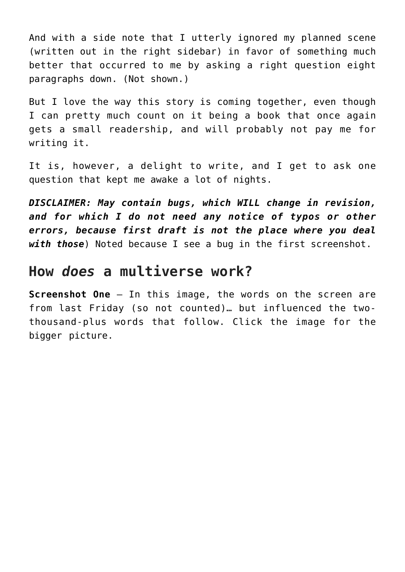And with a side note that I utterly ignored my planned scene (written out in the right sidebar) in favor of something much better that occurred to me by asking a right question eight paragraphs down. (Not shown.)

But I love the way this story is coming together, even though I can pretty much count on it being [a book that once again](https://www.alonewithinvisiblepeople.com/posts/episode-37-writing-to-market-vs-selling-out/) [gets a small readership, and will probably not pay me for](https://www.alonewithinvisiblepeople.com/posts/episode-37-writing-to-market-vs-selling-out/) [writing it.](https://www.alonewithinvisiblepeople.com/posts/episode-37-writing-to-market-vs-selling-out/)

It is, however, a delight to write, and I get to ask one question that kept me awake a lot of nights.

*DISCLAIMER: May contain bugs, which WILL change in revision, and for which I do not need any notice of typos or other errors, because first draft is not the place where you deal with those*) Noted because I see a bug in the first screenshot.

#### **How** *does* **a multiverse work?**

**Screenshot One** — In this image, the words on the screen are from last Friday (so not counted)… but influenced the twothousand-plus words that follow. Click the image for the bigger picture.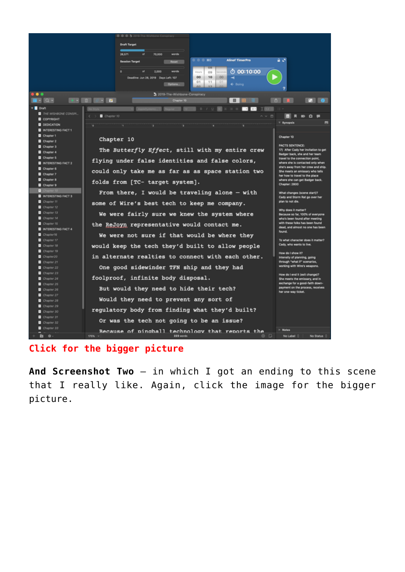

#### **[Click for the bigger picture](https://hollylisle.com/wp-content/uploads/Screen-Shot-2019-03-13-at-9.29.19-AM-1.png)**

**And Screenshot Two** — in which I got an ending to this scene that I really like. Again, click the image for the bigger picture.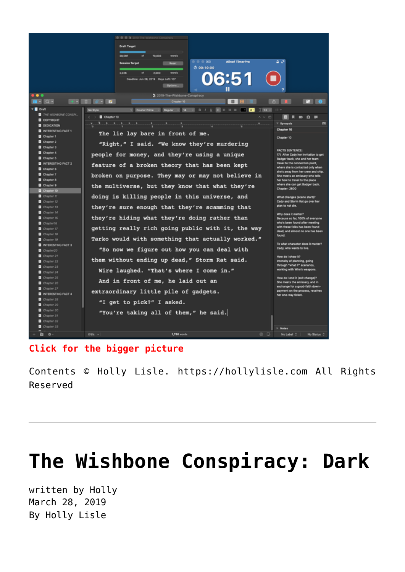

**[Click for the bigger picture](https://hollylisle.com/wp-content/uploads/Screen-Shot-2019-03-13-at-11.21.55-AM-1.png)**

Contents © Holly Lisle. <https://hollylisle.com> All Rights Reserved

### **[The Wishbone Conspiracy: Dark](https://hollylisle.com/the-wishbone-conspiracy-dark/)**

written by Holly March 28, 2019 [By Holly Lisle](https://hollylisle.com)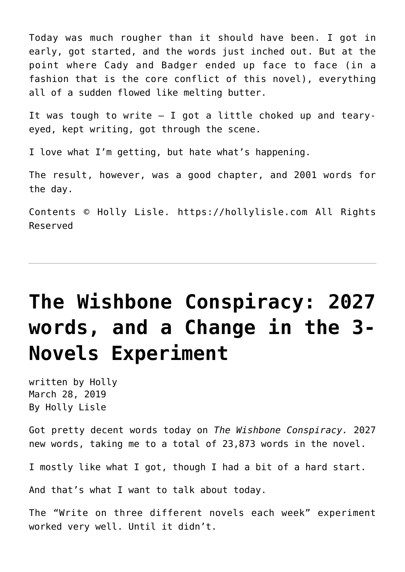Today was much rougher than it should have been. I got in early, got started, and the words just inched out. But at the point where Cady and Badger ended up face to face (in a fashion that is the core conflict of this novel), everything all of a sudden flowed like melting butter.

It was tough to write  $-$  I got a little choked up and tearyeyed, kept writing, got through the scene.

I love what I'm getting, but hate what's happening.

The result, however, was a good chapter, and 2001 words for the day.

Contents © Holly Lisle. <https://hollylisle.com> All Rights Reserved

## **[The Wishbone Conspiracy: 2027](https://hollylisle.com/the-wishbone-conspiracy-2027-words-and-a-change-in-the-3-novels-experiment/) [words, and a Change in the 3-](https://hollylisle.com/the-wishbone-conspiracy-2027-words-and-a-change-in-the-3-novels-experiment/) [Novels Experiment](https://hollylisle.com/the-wishbone-conspiracy-2027-words-and-a-change-in-the-3-novels-experiment/)**

written by Holly March 28, 2019 [By Holly Lisle](https://hollylisle.com)

Got pretty decent words today on *The Wishbone Conspiracy.* 2027 new words, taking me to a total of 23,873 words in the novel.

I mostly like what I got, though I had a bit of a hard start.

And that's what I want to talk about today.

The "Write on three different novels each week" experiment worked very well. Until it didn't.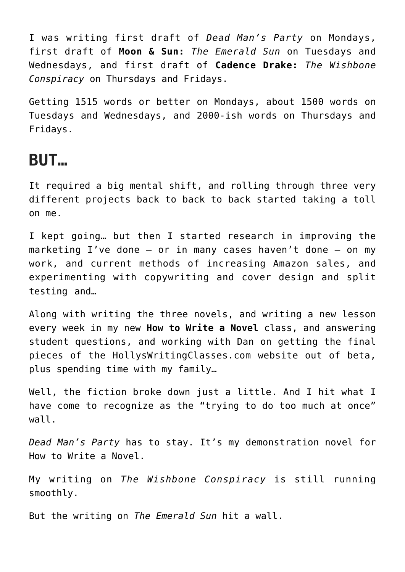I was writing first draft of *Dead Man's Party* on Mondays, first draft of **Moon & Sun:** *The Emerald Sun* on Tuesdays and Wednesdays, and first draft of **Cadence Drake:** *The Wishbone Conspiracy* on Thursdays and Fridays.

Getting 1515 words or better on Mondays, about 1500 words on Tuesdays and Wednesdays, and 2000-ish words on Thursdays and Fridays.

#### **BUT…**

It required a big mental shift, and rolling through three very different projects back to back to back started taking a toll on me.

I kept going… but then I started research in improving the marketing I've done — or in many cases haven't done — on my work, and current methods of increasing Amazon sales, and experimenting with copywriting and cover design and split testing and…

Along with writing the three novels, and writing a new lesson every week in my new **How to Write a Novel** class, and answering student questions, and working with Dan on getting the final pieces of the [HollysWritingClasses.com](https://hollyswritingclasses.com) website out of beta, plus spending time with my family…

Well, the fiction broke down just a little. And I hit what I have come to recognize as the "trying to do too much at once" wall.

*Dead Man's Party* has to stay. It's my demonstration novel for [How to Write a Novel](http://hollyswritingclasses.com/class/how-to-write-a-novel.html).

My writing on *The Wishbone Conspiracy* is still running smoothly.

But the writing on *The Emerald Sun* hit a wall.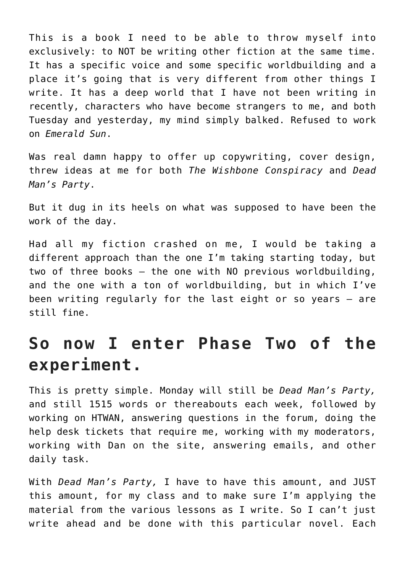This is a book I need to be able to throw myself into exclusively: to NOT be writing other fiction at the same time. It has a specific voice and some specific worldbuilding and a place it's going that is very different from other things I write. It has a deep world that I have not been writing in recently, characters who have become strangers to me, and both Tuesday and yesterday, my mind simply balked. Refused to work on *Emerald Sun*.

Was real damn happy to offer up copywriting, cover design, threw ideas at me for both *The Wishbone Conspiracy* and *Dead Man's Party*.

But it dug in its heels on what was supposed to have been the work of the day.

Had all my fiction crashed on me, I would be taking a different approach than the one I'm taking starting today, but two of three books — the one with NO previous worldbuilding, and the one with a ton of worldbuilding, but in which I've been writing regularly for the last eight or so years — are still fine.

#### **So now I enter Phase Two of the experiment.**

This is pretty simple. Monday will still be *Dead Man's Party,* and still 1515 words or thereabouts each week, followed by working on HTWAN, answering questions in the forum, doing the help desk tickets that require me, working with my moderators, working with Dan on the site, answering emails, and other daily task.

With *Dead Man's Party,* I have to have this amount, and JUST this amount, for my class and to make sure I'm applying the material from the various lessons as I write. So I can't just write ahead and be done with this particular novel. Each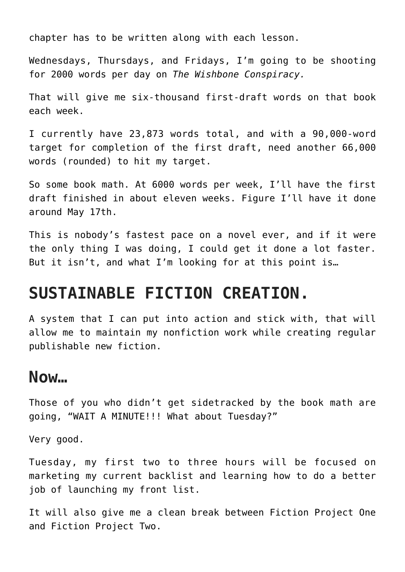chapter has to be written along with each lesson.

Wednesdays, Thursdays, and Fridays, I'm going to be shooting for 2000 words per day on *The Wishbone Conspiracy.*

That will give me six-thousand first-draft words on that book each week.

I currently have 23,873 words total, and with a 90,000-word target for completion of the first draft, need another 66,000 words (rounded) to hit my target.

So some book math. At 6000 words per week, I'll have the first draft finished in about eleven weeks. Figure I'll have it done around May 17th.

This is nobody's fastest pace on a novel ever, and if it were the only thing I was doing, I could get it done a lot faster. But it isn't, and what I'm looking for at this point is…

#### **SUSTAINABLE FICTION CREATION.**

A system that I can put into action and stick with, that will allow me to maintain my nonfiction work while creating regular publishable new fiction.

#### **Now…**

Those of you who didn't get sidetracked by the book math are going, "WAIT A MINUTE!!! What about Tuesday?"

Very good.

Tuesday, my first two to three hours will be focused on marketing my current backlist and learning how to do a better job of launching my front list.

It will also give me a clean break between Fiction Project One and Fiction Project Two.